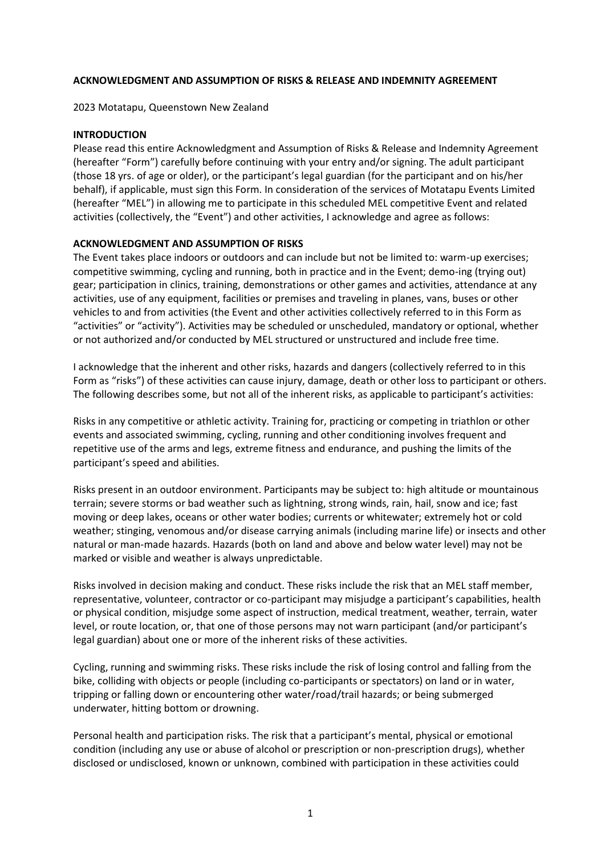# **ACKNOWLEDGMENT AND ASSUMPTION OF RISKS & RELEASE AND INDEMNITY AGREEMENT**

2023 Motatapu, Queenstown New Zealand

### **INTRODUCTION**

Please read this entire Acknowledgment and Assumption of Risks & Release and Indemnity Agreement (hereafter "Form") carefully before continuing with your entry and/or signing. The adult participant (those 18 yrs. of age or older), or the participant's legal guardian (for the participant and on his/her behalf), if applicable, must sign this Form. In consideration of the services of Motatapu Events Limited (hereafter "MEL") in allowing me to participate in this scheduled MEL competitive Event and related activities (collectively, the "Event") and other activities, I acknowledge and agree as follows:

### **ACKNOWLEDGMENT AND ASSUMPTION OF RISKS**

The Event takes place indoors or outdoors and can include but not be limited to: warm-up exercises; competitive swimming, cycling and running, both in practice and in the Event; demo-ing (trying out) gear; participation in clinics, training, demonstrations or other games and activities, attendance at any activities, use of any equipment, facilities or premises and traveling in planes, vans, buses or other vehicles to and from activities (the Event and other activities collectively referred to in this Form as "activities" or "activity"). Activities may be scheduled or unscheduled, mandatory or optional, whether or not authorized and/or conducted by MEL structured or unstructured and include free time.

I acknowledge that the inherent and other risks, hazards and dangers (collectively referred to in this Form as "risks") of these activities can cause injury, damage, death or other loss to participant or others. The following describes some, but not all of the inherent risks, as applicable to participant's activities:

Risks in any competitive or athletic activity. Training for, practicing or competing in triathlon or other events and associated swimming, cycling, running and other conditioning involves frequent and repetitive use of the arms and legs, extreme fitness and endurance, and pushing the limits of the participant's speed and abilities.

Risks present in an outdoor environment. Participants may be subject to: high altitude or mountainous terrain; severe storms or bad weather such as lightning, strong winds, rain, hail, snow and ice; fast moving or deep lakes, oceans or other water bodies; currents or whitewater; extremely hot or cold weather; stinging, venomous and/or disease carrying animals (including marine life) or insects and other natural or man-made hazards. Hazards (both on land and above and below water level) may not be marked or visible and weather is always unpredictable.

Risks involved in decision making and conduct. These risks include the risk that an MEL staff member, representative, volunteer, contractor or co-participant may misjudge a participant's capabilities, health or physical condition, misjudge some aspect of instruction, medical treatment, weather, terrain, water level, or route location, or, that one of those persons may not warn participant (and/or participant's legal guardian) about one or more of the inherent risks of these activities.

Cycling, running and swimming risks. These risks include the risk of losing control and falling from the bike, colliding with objects or people (including co-participants or spectators) on land or in water, tripping or falling down or encountering other water/road/trail hazards; or being submerged underwater, hitting bottom or drowning.

Personal health and participation risks. The risk that a participant's mental, physical or emotional condition (including any use or abuse of alcohol or prescription or non-prescription drugs), whether disclosed or undisclosed, known or unknown, combined with participation in these activities could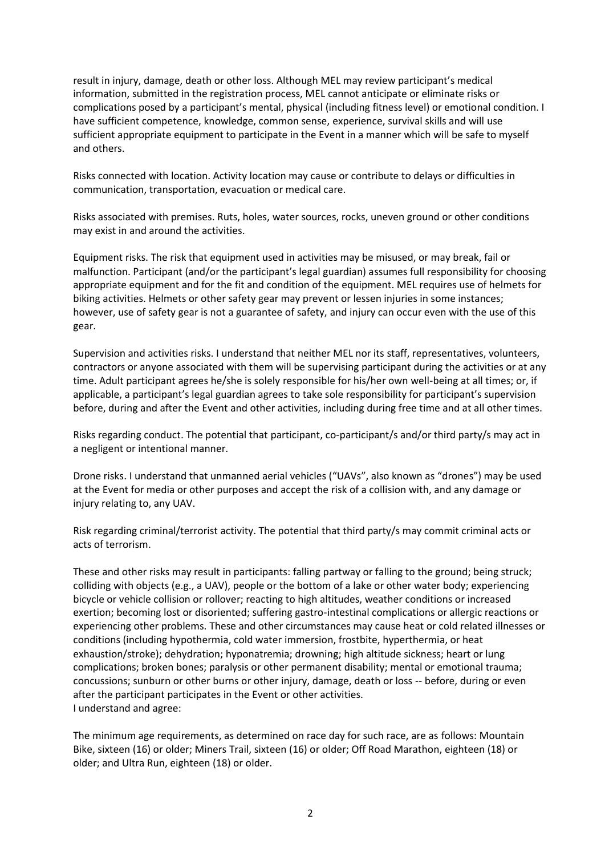result in injury, damage, death or other loss. Although MEL may review participant's medical information, submitted in the registration process, MEL cannot anticipate or eliminate risks or complications posed by a participant's mental, physical (including fitness level) or emotional condition. I have sufficient competence, knowledge, common sense, experience, survival skills and will use sufficient appropriate equipment to participate in the Event in a manner which will be safe to myself and others.

Risks connected with location. Activity location may cause or contribute to delays or difficulties in communication, transportation, evacuation or medical care.

Risks associated with premises. Ruts, holes, water sources, rocks, uneven ground or other conditions may exist in and around the activities.

Equipment risks. The risk that equipment used in activities may be misused, or may break, fail or malfunction. Participant (and/or the participant's legal guardian) assumes full responsibility for choosing appropriate equipment and for the fit and condition of the equipment. MEL requires use of helmets for biking activities. Helmets or other safety gear may prevent or lessen injuries in some instances; however, use of safety gear is not a guarantee of safety, and injury can occur even with the use of this gear.

Supervision and activities risks. I understand that neither MEL nor its staff, representatives, volunteers, contractors or anyone associated with them will be supervising participant during the activities or at any time. Adult participant agrees he/she is solely responsible for his/her own well-being at all times; or, if applicable, a participant's legal guardian agrees to take sole responsibility for participant's supervision before, during and after the Event and other activities, including during free time and at all other times.

Risks regarding conduct. The potential that participant, co-participant/s and/or third party/s may act in a negligent or intentional manner.

Drone risks. I understand that unmanned aerial vehicles ("UAVs", also known as "drones") may be used at the Event for media or other purposes and accept the risk of a collision with, and any damage or injury relating to, any UAV.

Risk regarding criminal/terrorist activity. The potential that third party/s may commit criminal acts or acts of terrorism.

These and other risks may result in participants: falling partway or falling to the ground; being struck; colliding with objects (e.g., a UAV), people or the bottom of a lake or other water body; experiencing bicycle or vehicle collision or rollover; reacting to high altitudes, weather conditions or increased exertion; becoming lost or disoriented; suffering gastro-intestinal complications or allergic reactions or experiencing other problems. These and other circumstances may cause heat or cold related illnesses or conditions (including hypothermia, cold water immersion, frostbite, hyperthermia, or heat exhaustion/stroke); dehydration; hyponatremia; drowning; high altitude sickness; heart or lung complications; broken bones; paralysis or other permanent disability; mental or emotional trauma; concussions; sunburn or other burns or other injury, damage, death or loss -- before, during or even after the participant participates in the Event or other activities. I understand and agree:

The minimum age requirements, as determined on race day for such race, are as follows: Mountain Bike, sixteen (16) or older; Miners Trail, sixteen (16) or older; Off Road Marathon, eighteen (18) or older; and Ultra Run, eighteen (18) or older.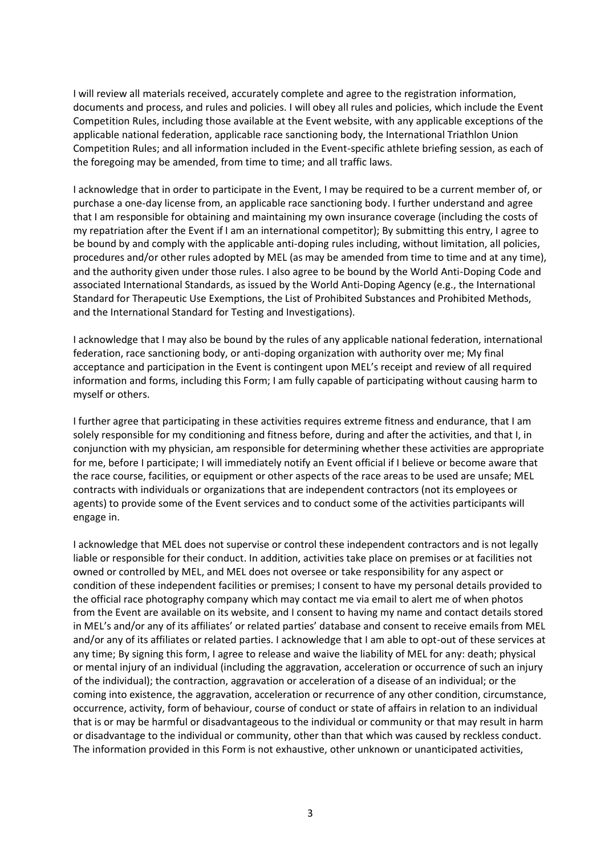I will review all materials received, accurately complete and agree to the registration information, documents and process, and rules and policies. I will obey all rules and policies, which include the Event Competition Rules, including those available at the Event website, with any applicable exceptions of the applicable national federation, applicable race sanctioning body, the International Triathlon Union Competition Rules; and all information included in the Event-specific athlete briefing session, as each of the foregoing may be amended, from time to time; and all traffic laws.

I acknowledge that in order to participate in the Event, I may be required to be a current member of, or purchase a one-day license from, an applicable race sanctioning body. I further understand and agree that I am responsible for obtaining and maintaining my own insurance coverage (including the costs of my repatriation after the Event if I am an international competitor); By submitting this entry, I agree to be bound by and comply with the applicable anti-doping rules including, without limitation, all policies, procedures and/or other rules adopted by MEL (as may be amended from time to time and at any time), and the authority given under those rules. I also agree to be bound by the World Anti-Doping Code and associated International Standards, as issued by the World Anti-Doping Agency (e.g., the International Standard for Therapeutic Use Exemptions, the List of Prohibited Substances and Prohibited Methods, and the International Standard for Testing and Investigations).

I acknowledge that I may also be bound by the rules of any applicable national federation, international federation, race sanctioning body, or anti-doping organization with authority over me; My final acceptance and participation in the Event is contingent upon MEL's receipt and review of all required information and forms, including this Form; I am fully capable of participating without causing harm to myself or others.

I further agree that participating in these activities requires extreme fitness and endurance, that I am solely responsible for my conditioning and fitness before, during and after the activities, and that I, in conjunction with my physician, am responsible for determining whether these activities are appropriate for me, before I participate; I will immediately notify an Event official if I believe or become aware that the race course, facilities, or equipment or other aspects of the race areas to be used are unsafe; MEL contracts with individuals or organizations that are independent contractors (not its employees or agents) to provide some of the Event services and to conduct some of the activities participants will engage in.

I acknowledge that MEL does not supervise or control these independent contractors and is not legally liable or responsible for their conduct. In addition, activities take place on premises or at facilities not owned or controlled by MEL, and MEL does not oversee or take responsibility for any aspect or condition of these independent facilities or premises; I consent to have my personal details provided to the official race photography company which may contact me via email to alert me of when photos from the Event are available on its website, and I consent to having my name and contact details stored in MEL's and/or any of its affiliates' or related parties' database and consent to receive emails from MEL and/or any of its affiliates or related parties. I acknowledge that I am able to opt-out of these services at any time; By signing this form, I agree to release and waive the liability of MEL for any: death; physical or mental injury of an individual (including the aggravation, acceleration or occurrence of such an injury of the individual); the contraction, aggravation or acceleration of a disease of an individual; or the coming into existence, the aggravation, acceleration or recurrence of any other condition, circumstance, occurrence, activity, form of behaviour, course of conduct or state of affairs in relation to an individual that is or may be harmful or disadvantageous to the individual or community or that may result in harm or disadvantage to the individual or community, other than that which was caused by reckless conduct. The information provided in this Form is not exhaustive, other unknown or unanticipated activities,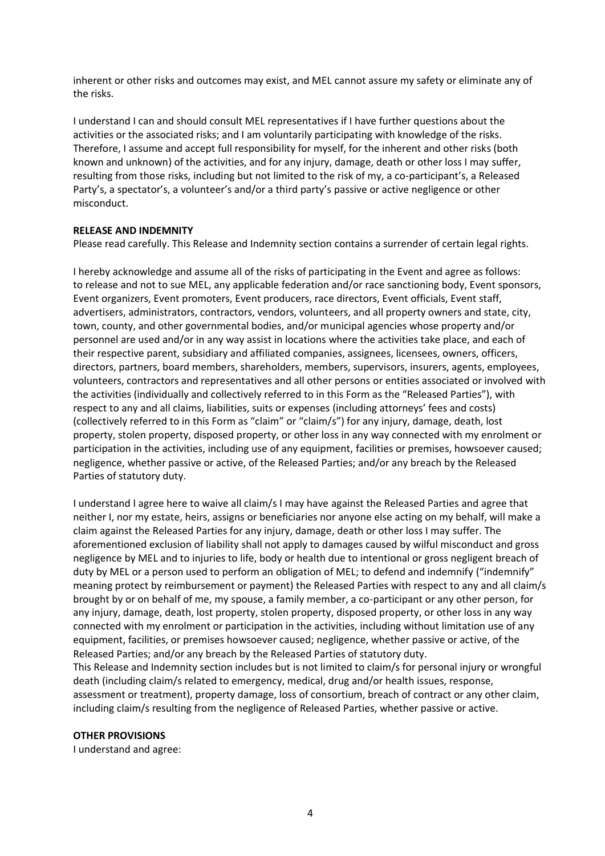inherent or other risks and outcomes may exist, and MEL cannot assure my safety or eliminate any of the risks.

I understand I can and should consult MEL representatives if I have further questions about the activities or the associated risks; and I am voluntarily participating with knowledge of the risks. Therefore, I assume and accept full responsibility for myself, for the inherent and other risks (both known and unknown) of the activities, and for any injury, damage, death or other loss I may suffer, resulting from those risks, including but not limited to the risk of my, a co-participant's, a Released Party's, a spectator's, a volunteer's and/or a third party's passive or active negligence or other misconduct.

# **RELEASE AND INDEMNITY**

Please read carefully. This Release and Indemnity section contains a surrender of certain legal rights.

I hereby acknowledge and assume all of the risks of participating in the Event and agree as follows: to release and not to sue MEL, any applicable federation and/or race sanctioning body, Event sponsors, Event organizers, Event promoters, Event producers, race directors, Event officials, Event staff, advertisers, administrators, contractors, vendors, volunteers, and all property owners and state, city, town, county, and other governmental bodies, and/or municipal agencies whose property and/or personnel are used and/or in any way assist in locations where the activities take place, and each of their respective parent, subsidiary and affiliated companies, assignees, licensees, owners, officers, directors, partners, board members, shareholders, members, supervisors, insurers, agents, employees, volunteers, contractors and representatives and all other persons or entities associated or involved with the activities (individually and collectively referred to in this Form as the "Released Parties"), with respect to any and all claims, liabilities, suits or expenses (including attorneys' fees and costs) (collectively referred to in this Form as "claim" or "claim/s") for any injury, damage, death, lost property, stolen property, disposed property, or other loss in any way connected with my enrolment or participation in the activities, including use of any equipment, facilities or premises, howsoever caused; negligence, whether passive or active, of the Released Parties; and/or any breach by the Released Parties of statutory duty.

I understand I agree here to waive all claim/s I may have against the Released Parties and agree that neither I, nor my estate, heirs, assigns or beneficiaries nor anyone else acting on my behalf, will make a claim against the Released Parties for any injury, damage, death or other loss I may suffer. The aforementioned exclusion of liability shall not apply to damages caused by wilful misconduct and gross negligence by MEL and to injuries to life, body or health due to intentional or gross negligent breach of duty by MEL or a person used to perform an obligation of MEL; to defend and indemnify ("indemnify" meaning protect by reimbursement or payment) the Released Parties with respect to any and all claim/s brought by or on behalf of me, my spouse, a family member, a co-participant or any other person, for any injury, damage, death, lost property, stolen property, disposed property, or other loss in any way connected with my enrolment or participation in the activities, including without limitation use of any equipment, facilities, or premises howsoever caused; negligence, whether passive or active, of the Released Parties; and/or any breach by the Released Parties of statutory duty.

This Release and Indemnity section includes but is not limited to claim/s for personal injury or wrongful death (including claim/s related to emergency, medical, drug and/or health issues, response, assessment or treatment), property damage, loss of consortium, breach of contract or any other claim, including claim/s resulting from the negligence of Released Parties, whether passive or active.

# **OTHER PROVISIONS**

I understand and agree: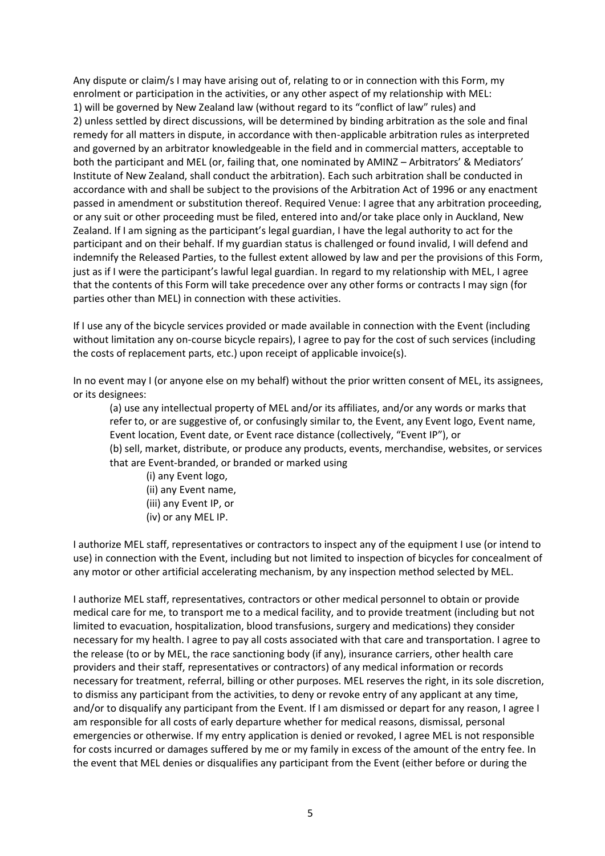Any dispute or claim/s I may have arising out of, relating to or in connection with this Form, my enrolment or participation in the activities, or any other aspect of my relationship with MEL: 1) will be governed by New Zealand law (without regard to its "conflict of law" rules) and 2) unless settled by direct discussions, will be determined by binding arbitration as the sole and final remedy for all matters in dispute, in accordance with then-applicable arbitration rules as interpreted and governed by an arbitrator knowledgeable in the field and in commercial matters, acceptable to both the participant and MEL (or, failing that, one nominated by AMINZ – Arbitrators' & Mediators' Institute of New Zealand, shall conduct the arbitration). Each such arbitration shall be conducted in accordance with and shall be subject to the provisions of the Arbitration Act of 1996 or any enactment passed in amendment or substitution thereof. Required Venue: I agree that any arbitration proceeding, or any suit or other proceeding must be filed, entered into and/or take place only in Auckland, New Zealand. If I am signing as the participant's legal guardian, I have the legal authority to act for the participant and on their behalf. If my guardian status is challenged or found invalid, I will defend and indemnify the Released Parties, to the fullest extent allowed by law and per the provisions of this Form, just as if I were the participant's lawful legal guardian. In regard to my relationship with MEL, I agree that the contents of this Form will take precedence over any other forms or contracts I may sign (for parties other than MEL) in connection with these activities.

If I use any of the bicycle services provided or made available in connection with the Event (including without limitation any on-course bicycle repairs), I agree to pay for the cost of such services (including the costs of replacement parts, etc.) upon receipt of applicable invoice(s).

In no event may I (or anyone else on my behalf) without the prior written consent of MEL, its assignees, or its designees:

(a) use any intellectual property of MEL and/or its affiliates, and/or any words or marks that refer to, or are suggestive of, or confusingly similar to, the Event, any Event logo, Event name, Event location, Event date, or Event race distance (collectively, "Event IP"), or

(b) sell, market, distribute, or produce any products, events, merchandise, websites, or services that are Event-branded, or branded or marked using

- (i) any Event logo,
- (ii) any Event name,
- (iii) any Event IP, or
- (iv) or any MEL IP.

I authorize MEL staff, representatives or contractors to inspect any of the equipment I use (or intend to use) in connection with the Event, including but not limited to inspection of bicycles for concealment of any motor or other artificial accelerating mechanism, by any inspection method selected by MEL.

I authorize MEL staff, representatives, contractors or other medical personnel to obtain or provide medical care for me, to transport me to a medical facility, and to provide treatment (including but not limited to evacuation, hospitalization, blood transfusions, surgery and medications) they consider necessary for my health. I agree to pay all costs associated with that care and transportation. I agree to the release (to or by MEL, the race sanctioning body (if any), insurance carriers, other health care providers and their staff, representatives or contractors) of any medical information or records necessary for treatment, referral, billing or other purposes. MEL reserves the right, in its sole discretion, to dismiss any participant from the activities, to deny or revoke entry of any applicant at any time, and/or to disqualify any participant from the Event. If I am dismissed or depart for any reason, I agree I am responsible for all costs of early departure whether for medical reasons, dismissal, personal emergencies or otherwise. If my entry application is denied or revoked, I agree MEL is not responsible for costs incurred or damages suffered by me or my family in excess of the amount of the entry fee. In the event that MEL denies or disqualifies any participant from the Event (either before or during the